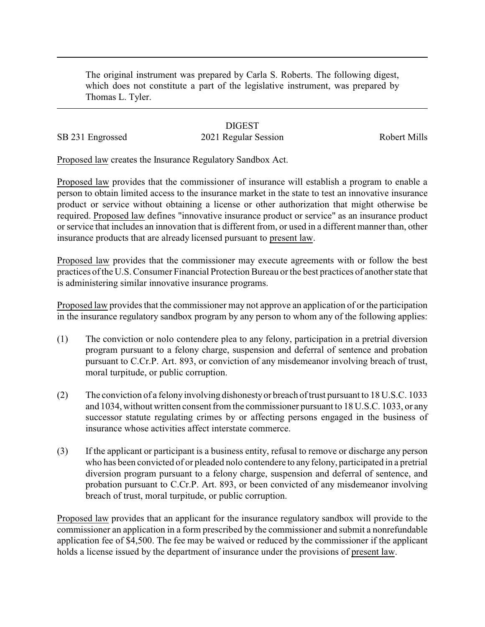The original instrument was prepared by Carla S. Roberts. The following digest, which does not constitute a part of the legislative instrument, was prepared by Thomas L. Tyler.

## **DIGEST**

SB 231 Engrossed 2021 Regular Session Robert Mills

Proposed law creates the Insurance Regulatory Sandbox Act.

Proposed law provides that the commissioner of insurance will establish a program to enable a person to obtain limited access to the insurance market in the state to test an innovative insurance product or service without obtaining a license or other authorization that might otherwise be required. Proposed law defines "innovative insurance product or service" as an insurance product or service that includes an innovation that is different from, or used in a different manner than, other insurance products that are already licensed pursuant to present law.

Proposed law provides that the commissioner may execute agreements with or follow the best practices of the U.S. Consumer Financial Protection Bureau or the best practices of another state that is administering similar innovative insurance programs.

Proposed law provides that the commissioner may not approve an application of or the participation in the insurance regulatory sandbox program by any person to whom any of the following applies:

- (1) The conviction or nolo contendere plea to any felony, participation in a pretrial diversion program pursuant to a felony charge, suspension and deferral of sentence and probation pursuant to C.Cr.P. Art. 893, or conviction of any misdemeanor involving breach of trust, moral turpitude, or public corruption.
- (2) The conviction of a felony involving dishonestyor breach of trust pursuant to 18 U.S.C. 1033 and 1034, without written consent from the commissioner pursuant to 18 U.S.C. 1033, or any successor statute regulating crimes by or affecting persons engaged in the business of insurance whose activities affect interstate commerce.
- (3) If the applicant or participant is a business entity, refusal to remove or discharge any person who has been convicted of or pleaded nolo contendere to any felony, participated in a pretrial diversion program pursuant to a felony charge, suspension and deferral of sentence, and probation pursuant to C.Cr.P. Art. 893, or been convicted of any misdemeanor involving breach of trust, moral turpitude, or public corruption.

Proposed law provides that an applicant for the insurance regulatory sandbox will provide to the commissioner an application in a form prescribed by the commissioner and submit a nonrefundable application fee of \$4,500. The fee may be waived or reduced by the commissioner if the applicant holds a license issued by the department of insurance under the provisions of present law.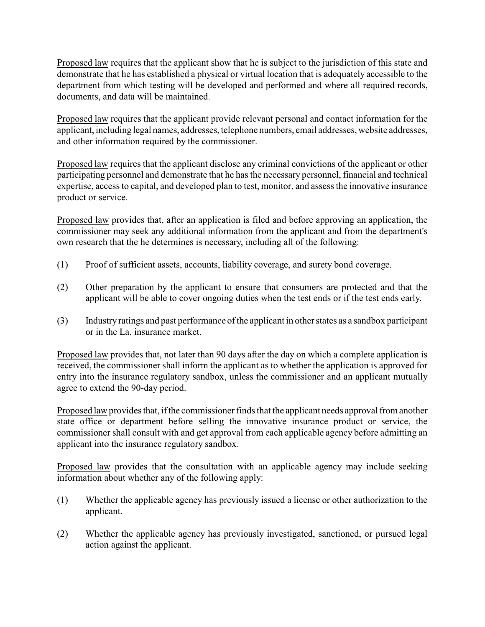Proposed law requires that the applicant show that he is subject to the jurisdiction of this state and demonstrate that he has established a physical or virtual location that is adequately accessible to the department from which testing will be developed and performed and where all required records, documents, and data will be maintained.

Proposed law requires that the applicant provide relevant personal and contact information for the applicant, including legal names, addresses, telephone numbers, email addresses, website addresses, and other information required by the commissioner.

Proposed law requires that the applicant disclose any criminal convictions of the applicant or other participating personnel and demonstrate that he has the necessary personnel, financial and technical expertise, access to capital, and developed plan to test, monitor, and assess the innovative insurance product or service.

Proposed law provides that, after an application is filed and before approving an application, the commissioner may seek any additional information from the applicant and from the department's own research that the he determines is necessary, including all of the following:

- (1) Proof of sufficient assets, accounts, liability coverage, and surety bond coverage.
- (2) Other preparation by the applicant to ensure that consumers are protected and that the applicant will be able to cover ongoing duties when the test ends or if the test ends early.
- (3) Industry ratings and past performance of the applicant in other states as a sandbox participant or in the La. insurance market.

Proposed law provides that, not later than 90 days after the day on which a complete application is received, the commissioner shall inform the applicant as to whether the application is approved for entry into the insurance regulatory sandbox, unless the commissioner and an applicant mutually agree to extend the 90-day period.

Proposed law provides that, if the commissioner finds that the applicant needs approval from another state office or department before selling the innovative insurance product or service, the commissioner shall consult with and get approval from each applicable agency before admitting an applicant into the insurance regulatory sandbox.

Proposed law provides that the consultation with an applicable agency may include seeking information about whether any of the following apply:

- (1) Whether the applicable agency has previously issued a license or other authorization to the applicant.
- (2) Whether the applicable agency has previously investigated, sanctioned, or pursued legal action against the applicant.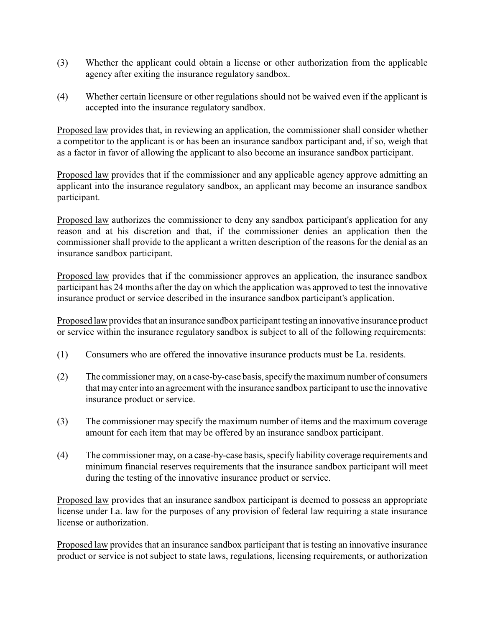- (3) Whether the applicant could obtain a license or other authorization from the applicable agency after exiting the insurance regulatory sandbox.
- (4) Whether certain licensure or other regulations should not be waived even if the applicant is accepted into the insurance regulatory sandbox.

Proposed law provides that, in reviewing an application, the commissioner shall consider whether a competitor to the applicant is or has been an insurance sandbox participant and, if so, weigh that as a factor in favor of allowing the applicant to also become an insurance sandbox participant.

Proposed law provides that if the commissioner and any applicable agency approve admitting an applicant into the insurance regulatory sandbox, an applicant may become an insurance sandbox participant.

Proposed law authorizes the commissioner to deny any sandbox participant's application for any reason and at his discretion and that, if the commissioner denies an application then the commissioner shall provide to the applicant a written description of the reasons for the denial as an insurance sandbox participant.

Proposed law provides that if the commissioner approves an application, the insurance sandbox participant has 24 months after the day on which the application was approved to test the innovative insurance product or service described in the insurance sandbox participant's application.

Proposed law provides that an insurance sandbox participant testing an innovative insurance product or service within the insurance regulatory sandbox is subject to all of the following requirements:

- (1) Consumers who are offered the innovative insurance products must be La. residents.
- (2) The commissioner may, on a case-by-case basis, specifythe maximum number of consumers that may enter into an agreement with the insurance sandbox participant to use the innovative insurance product or service.
- (3) The commissioner may specify the maximum number of items and the maximum coverage amount for each item that may be offered by an insurance sandbox participant.
- (4) The commissioner may, on a case-by-case basis, specify liability coverage requirements and minimum financial reserves requirements that the insurance sandbox participant will meet during the testing of the innovative insurance product or service.

Proposed law provides that an insurance sandbox participant is deemed to possess an appropriate license under La. law for the purposes of any provision of federal law requiring a state insurance license or authorization.

Proposed law provides that an insurance sandbox participant that is testing an innovative insurance product or service is not subject to state laws, regulations, licensing requirements, or authorization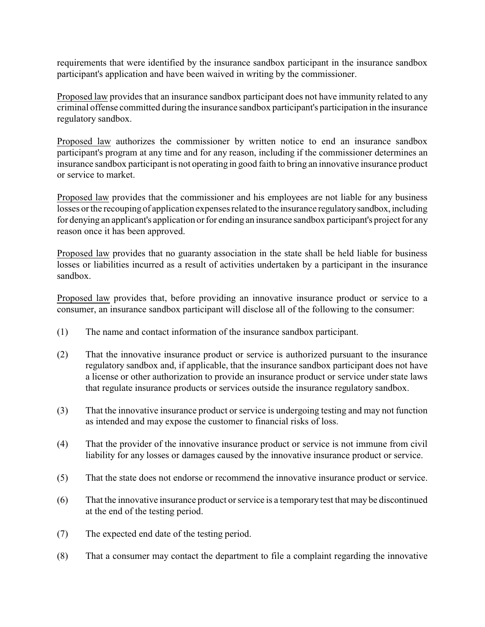requirements that were identified by the insurance sandbox participant in the insurance sandbox participant's application and have been waived in writing by the commissioner.

Proposed law provides that an insurance sandbox participant does not have immunity related to any criminal offense committed during the insurance sandbox participant's participation in the insurance regulatory sandbox.

Proposed law authorizes the commissioner by written notice to end an insurance sandbox participant's program at any time and for any reason, including if the commissioner determines an insurance sandbox participant is not operating in good faith to bring an innovative insurance product or service to market.

Proposed law provides that the commissioner and his employees are not liable for any business losses or the recouping of application expenses related to the insurance regulatorysandbox, including for denying an applicant's application or for ending an insurance sandbox participant's project for any reason once it has been approved.

Proposed law provides that no guaranty association in the state shall be held liable for business losses or liabilities incurred as a result of activities undertaken by a participant in the insurance sandbox.

Proposed law provides that, before providing an innovative insurance product or service to a consumer, an insurance sandbox participant will disclose all of the following to the consumer:

- (1) The name and contact information of the insurance sandbox participant.
- (2) That the innovative insurance product or service is authorized pursuant to the insurance regulatory sandbox and, if applicable, that the insurance sandbox participant does not have a license or other authorization to provide an insurance product or service under state laws that regulate insurance products or services outside the insurance regulatory sandbox.
- (3) That the innovative insurance product or service is undergoing testing and may not function as intended and may expose the customer to financial risks of loss.
- (4) That the provider of the innovative insurance product or service is not immune from civil liability for any losses or damages caused by the innovative insurance product or service.
- (5) That the state does not endorse or recommend the innovative insurance product or service.
- (6) That the innovative insurance product or service is a temporary test that may be discontinued at the end of the testing period.
- (7) The expected end date of the testing period.
- (8) That a consumer may contact the department to file a complaint regarding the innovative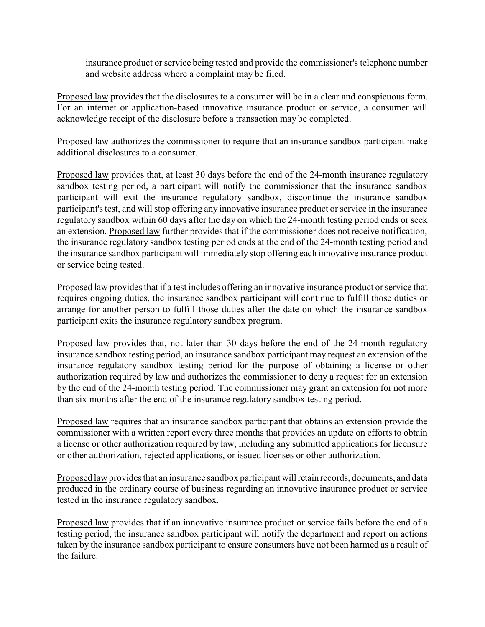insurance product or service being tested and provide the commissioner's telephone number and website address where a complaint may be filed.

Proposed law provides that the disclosures to a consumer will be in a clear and conspicuous form. For an internet or application-based innovative insurance product or service, a consumer will acknowledge receipt of the disclosure before a transaction may be completed.

Proposed law authorizes the commissioner to require that an insurance sandbox participant make additional disclosures to a consumer.

Proposed law provides that, at least 30 days before the end of the 24-month insurance regulatory sandbox testing period, a participant will notify the commissioner that the insurance sandbox participant will exit the insurance regulatory sandbox, discontinue the insurance sandbox participant's test, and will stop offering any innovative insurance product or service in the insurance regulatory sandbox within 60 days after the day on which the 24-month testing period ends or seek an extension. Proposed law further provides that if the commissioner does not receive notification, the insurance regulatory sandbox testing period ends at the end of the 24-month testing period and the insurance sandbox participant will immediately stop offering each innovative insurance product or service being tested.

Proposed law provides that if a test includes offering an innovative insurance product or service that requires ongoing duties, the insurance sandbox participant will continue to fulfill those duties or arrange for another person to fulfill those duties after the date on which the insurance sandbox participant exits the insurance regulatory sandbox program.

Proposed law provides that, not later than 30 days before the end of the 24-month regulatory insurance sandbox testing period, an insurance sandbox participant may request an extension of the insurance regulatory sandbox testing period for the purpose of obtaining a license or other authorization required by law and authorizes the commissioner to deny a request for an extension by the end of the 24-month testing period. The commissioner may grant an extension for not more than six months after the end of the insurance regulatory sandbox testing period.

Proposed law requires that an insurance sandbox participant that obtains an extension provide the commissioner with a written report every three months that provides an update on efforts to obtain a license or other authorization required by law, including any submitted applications for licensure or other authorization, rejected applications, or issued licenses or other authorization.

Proposed law provides that an insurance sandbox participant willretain records, documents, and data produced in the ordinary course of business regarding an innovative insurance product or service tested in the insurance regulatory sandbox.

Proposed law provides that if an innovative insurance product or service fails before the end of a testing period, the insurance sandbox participant will notify the department and report on actions taken by the insurance sandbox participant to ensure consumers have not been harmed as a result of the failure.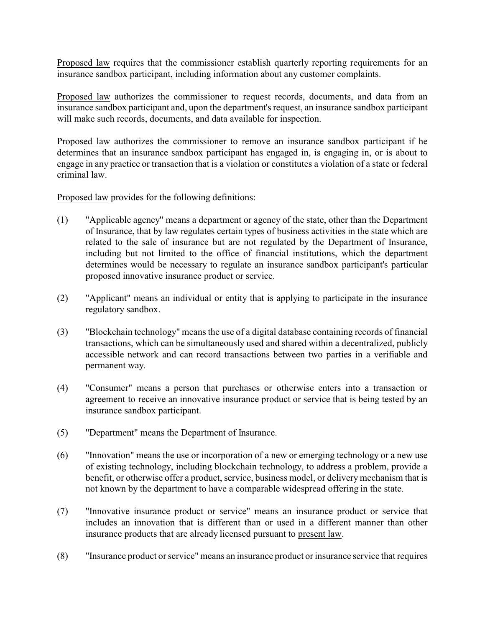Proposed law requires that the commissioner establish quarterly reporting requirements for an insurance sandbox participant, including information about any customer complaints.

Proposed law authorizes the commissioner to request records, documents, and data from an insurance sandbox participant and, upon the department's request, an insurance sandbox participant will make such records, documents, and data available for inspection.

Proposed law authorizes the commissioner to remove an insurance sandbox participant if he determines that an insurance sandbox participant has engaged in, is engaging in, or is about to engage in any practice or transaction that is a violation or constitutes a violation of a state or federal criminal law.

Proposed law provides for the following definitions:

- (1) "Applicable agency" means a department or agency of the state, other than the Department of Insurance, that by law regulates certain types of business activities in the state which are related to the sale of insurance but are not regulated by the Department of Insurance, including but not limited to the office of financial institutions, which the department determines would be necessary to regulate an insurance sandbox participant's particular proposed innovative insurance product or service.
- (2) "Applicant" means an individual or entity that is applying to participate in the insurance regulatory sandbox.
- (3) "Blockchain technology" means the use of a digital database containing records of financial transactions, which can be simultaneously used and shared within a decentralized, publicly accessible network and can record transactions between two parties in a verifiable and permanent way.
- (4) "Consumer" means a person that purchases or otherwise enters into a transaction or agreement to receive an innovative insurance product or service that is being tested by an insurance sandbox participant.
- (5) "Department" means the Department of Insurance.
- (6) "Innovation" means the use or incorporation of a new or emerging technology or a new use of existing technology, including blockchain technology, to address a problem, provide a benefit, or otherwise offer a product, service, business model, or delivery mechanism that is not known by the department to have a comparable widespread offering in the state.
- (7) "Innovative insurance product or service" means an insurance product or service that includes an innovation that is different than or used in a different manner than other insurance products that are already licensed pursuant to present law.
- (8) "Insurance product or service" means an insurance product or insurance service that requires